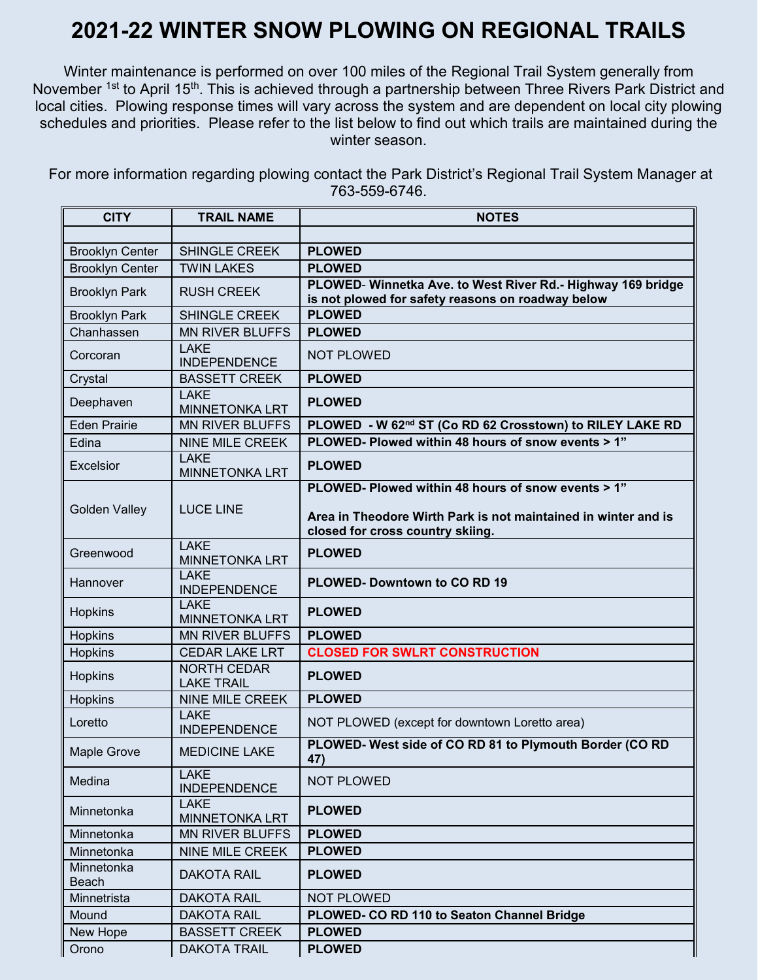## **2021-22 WINTER SNOW PLOWING ON REGIONAL TRAILS**

Winter maintenance is performed on over 100 miles of the Regional Trail System generally from November <sup>1st</sup> to April 15<sup>th</sup>. This is achieved through a partnership between Three Rivers Park District and local cities. Plowing response times will vary across the system and are dependent on local city plowing schedules and priorities. Please refer to the list below to find out which trails are maintained during the winter season.

For more information regarding plowing contact the Park District's Regional Trail System Manager at 763-559-6746.

| <b>CITY</b>            | <b>TRAIL NAME</b>                       | <b>NOTES</b>                                                                                                     |
|------------------------|-----------------------------------------|------------------------------------------------------------------------------------------------------------------|
|                        |                                         |                                                                                                                  |
| <b>Brooklyn Center</b> | SHINGLE CREEK                           | <b>PLOWED</b>                                                                                                    |
| <b>Brooklyn Center</b> | <b>TWIN LAKES</b>                       | <b>PLOWED</b>                                                                                                    |
| <b>Brooklyn Park</b>   | <b>RUSH CREEK</b>                       | PLOWED- Winnetka Ave. to West River Rd.- Highway 169 bridge<br>is not plowed for safety reasons on roadway below |
| <b>Brooklyn Park</b>   | SHINGLE CREEK                           | <b>PLOWED</b>                                                                                                    |
| Chanhassen             | <b>MN RIVER BLUFFS</b>                  | <b>PLOWED</b>                                                                                                    |
| Corcoran               | <b>LAKE</b><br><b>INDEPENDENCE</b>      | <b>NOT PLOWED</b>                                                                                                |
| Crystal                | <b>BASSETT CREEK</b>                    | <b>PLOWED</b>                                                                                                    |
| Deephaven              | <b>LAKE</b><br><b>MINNETONKA LRT</b>    | <b>PLOWED</b>                                                                                                    |
| <b>Eden Prairie</b>    | <b>MN RIVER BLUFFS</b>                  | PLOWED - W 62nd ST (Co RD 62 Crosstown) to RILEY LAKE RD                                                         |
| Edina                  | <b>NINE MILE CREEK</b>                  | PLOWED- Plowed within 48 hours of snow events > 1"                                                               |
| <b>Excelsior</b>       | <b>LAKE</b><br><b>MINNETONKA LRT</b>    | <b>PLOWED</b>                                                                                                    |
|                        |                                         | PLOWED- Plowed within 48 hours of snow events > 1"                                                               |
| <b>Golden Valley</b>   | <b>LUCE LINE</b>                        | Area in Theodore Wirth Park is not maintained in winter and is<br>closed for cross country skiing.               |
| Greenwood              | <b>LAKE</b><br><b>MINNETONKA LRT</b>    | <b>PLOWED</b>                                                                                                    |
| Hannover               | <b>LAKE</b><br><b>INDEPENDENCE</b>      | PLOWED- Downtown to CO RD 19                                                                                     |
| Hopkins                | <b>LAKE</b><br><b>MINNETONKA LRT</b>    | <b>PLOWED</b>                                                                                                    |
| Hopkins                | <b>MN RIVER BLUFFS</b>                  | <b>PLOWED</b>                                                                                                    |
| Hopkins                | <b>CEDAR LAKE LRT</b>                   | <b>CLOSED FOR SWLRT CONSTRUCTION</b>                                                                             |
| Hopkins                | <b>NORTH CEDAR</b><br><b>LAKE TRAIL</b> | <b>PLOWED</b>                                                                                                    |
| Hopkins                | <b>NINE MILE CREEK</b>                  | <b>PLOWED</b>                                                                                                    |
| Loretto                | <b>LAKE</b><br><b>INDEPENDENCE</b>      | NOT PLOWED (except for downtown Loretto area)                                                                    |
| <b>Maple Grove</b>     | <b>MEDICINE LAKE</b>                    | PLOWED- West side of CO RD 81 to Plymouth Border (CO RD<br>47)                                                   |
| Medina                 | <b>LAKE</b><br><b>INDEPENDENCE</b>      | <b>NOT PLOWED</b>                                                                                                |
| Minnetonka             | <b>LAKE</b><br><b>MINNETONKA LRT</b>    | <b>PLOWED</b>                                                                                                    |
| Minnetonka             | <b>MN RIVER BLUFFS</b>                  | <b>PLOWED</b>                                                                                                    |
| Minnetonka             | NINE MILE CREEK                         | <b>PLOWED</b>                                                                                                    |
| Minnetonka<br>Beach    | <b>DAKOTA RAIL</b>                      | <b>PLOWED</b>                                                                                                    |
| Minnetrista            | <b>DAKOTA RAIL</b>                      | <b>NOT PLOWED</b>                                                                                                |
| Mound                  | <b>DAKOTA RAIL</b>                      | PLOWED- CO RD 110 to Seaton Channel Bridge                                                                       |
| New Hope               | <b>BASSETT CREEK</b>                    | <b>PLOWED</b>                                                                                                    |
| Orono                  | <b>DAKOTA TRAIL</b>                     | <b>PLOWED</b>                                                                                                    |